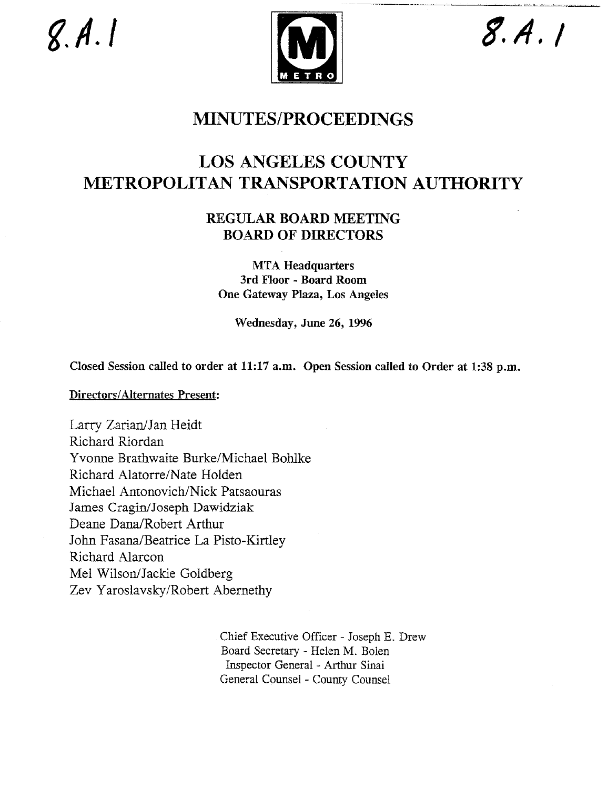$g.A.1$ 



 $8.4.1$ 

## **MINUTES/PROCEEDINGS**

# **LOS ANGELES COUNTY METROPOLITAN TRANSPORTATION AUTHORITY**

## REGULAR BOARD MEETING **BOARD OF DIRECTORS**

**MTA Headquarters 3rd Floor - Board Room** One Gateway Plaza, Los Angeles

Wednesday, June 26, 1996

Closed Session called to order at 11:17 a.m. Open Session called to Order at 1:38 p.m.

Directors/Alternates Present:

Larry Zarian/Jan Heidt Richard Riordan Yvonne Brathwaite Burke/Michael Bohlke Richard Alatorre/Nate Holden Michael Antonovich/Nick Patsaouras James Cragin/Joseph Dawidziak Deane Dana/Robert Arthur John Fasana/Beatrice La Pisto-Kirtley Richard Alarcon Mel Wilson/Jackie Goldberg Zev Yaroslavsky/Robert Abernethy

> Chief Executive Officer - Joseph E. Drew Board Secretary - Helen M. Bolen Inspector General - Arthur Sinai General Counsel - County Counsel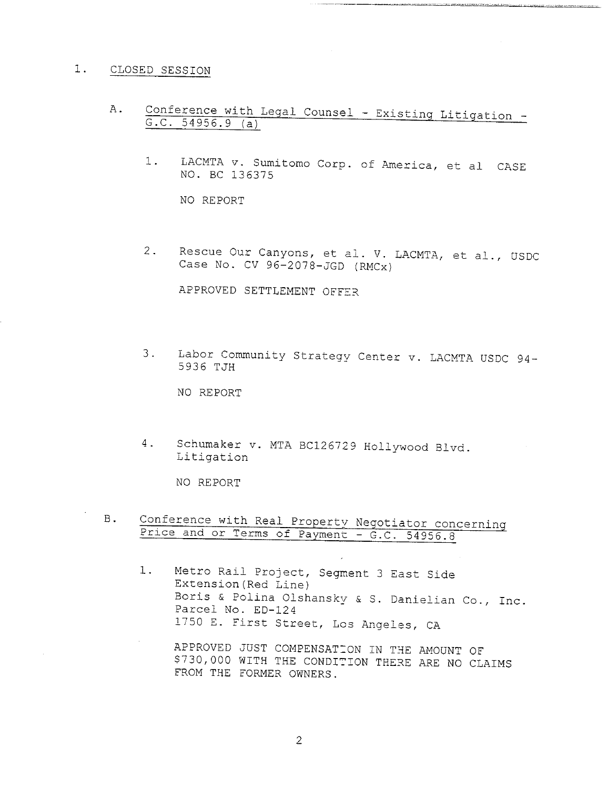#### i. CLOSED SESSION

- A. Conference with Legal Counsel Existing Litigation -G.C. 54956.9 (a)
	- $1$  . LACMTA v. Sumitomo Corp. of America, et al CASI NO. BC 136375

<u>inici, neutral permanente de seu processo maggioristo.</u>

NO REPORT

Rescue Our Canyons, et al. V. LACMTA, et al., USDC  $2.$ Case No. CV 96-2078-JGD (RMCx)

APPROVED SETTLEMENT OFFER

3. Labor Community Strategy Center v. LACMTA USDC 94-5936 TJH

NO REPORT

4. Schumaker v. MTA BC126729 Hollywood Blvd. Litigation

NO REPORT

B. Conference with Real Property Negotiator concerning Price and or Terms of Payment - G.C. 54956.8

Metro Rail Project, Segment 3 East Side  $1.$ Extension(Red Line) Boris & Polina Olshanskv & S. Danielian Co., Inc. Parcel No. ED-124 1750 E. First Street, Los Angeles, CA

APPROVED JUST COMPENSATION IN THE AMOUNT OF \$730,000 WITH THE CONDITION THERE ARE NO CLAIMS FROM THE FORMER OWNERS.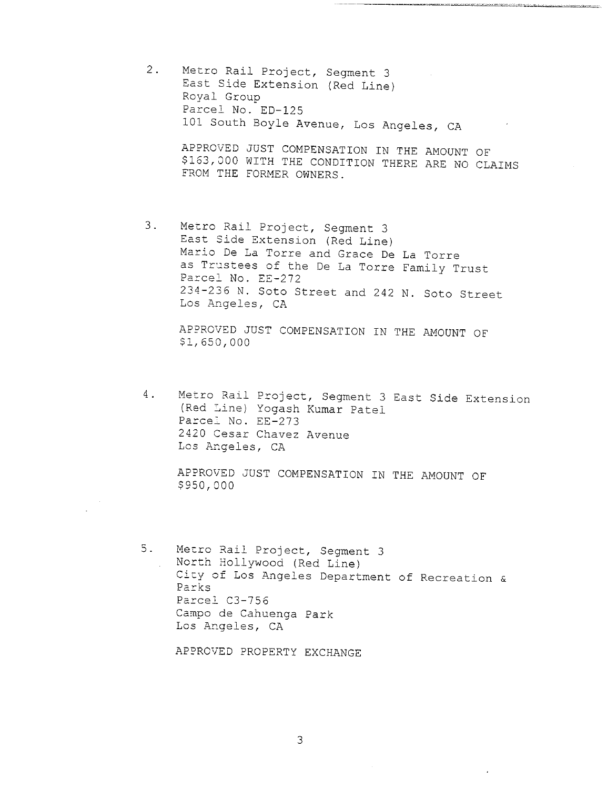2. Metro Rail Project, Segment 3 East Side Extension (Red Line) Royal Group Parcel No. ED-125 I0! South Boyle Avenue, Los Angeles, CA

> APPROVED JUST COMPENSATION IN THE AMOUNT OF \$163,000 WITH THE CONDITION THERE ARE NO CLAIMS FROM THE FORMER OWNERS.

3. Metro Rail Project, Segment 3 East Side Extension (Red Line) Mario De La Torre and Grace De La Torre as Trustees of the De La Torre Family Trust Parcel No. EE-272 234-236 N. Soto Street and 242 N. Soto Street Los Angeles, CA

APPROVED JUST COMPENSATION IN THE AMOUNT OF \$1,650,000

4. Metro Rail Project, Segment 3 East Side Extension (Red Line) Yogash Kumar Patel Parcel No. EE-273 2420 Cesar Chavez Avenue Los Angeles, CA

APPROVED JUST COMPENSATION IN THE AMOUNT OF \$950,000

 $5.$ Metro Rail Project, Segment 3 North Hollywood (Red Line) City of Los Angeles Department of Recreation  $\alpha$ Parks Parcel C3-756 Campo de Cahuenga Park Los Angeles, CA

APPROVED PROPERTY EXCHANGE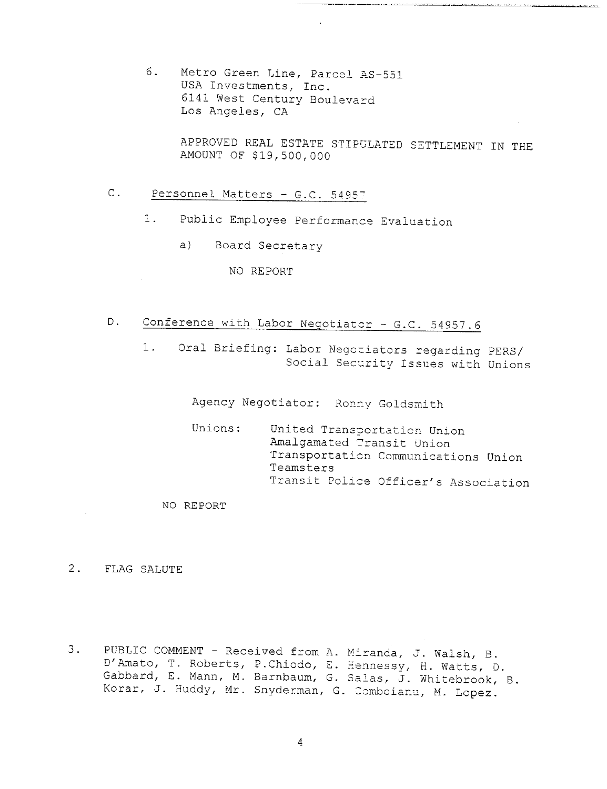6. Metro Green Line, Parcel AS-551 USA Investments, Inc. 6141 West Century Boulevard Los Angeles, CA

> APPROVED REAL ESTATE STIPULATED SETTLEMENT IN THE AMOUNT OF \$19,500,000

### C. Personnel Matters - G.C. 54957

- Public Employee Performance Evaluation  $1$ .
	- a) Board Secretary

#### NO REPORT

- D. Conference with Labor Negotiator G.C. 54957.6
	- Oral Briefing: Labor Negotiators regarding PERS/  $1.$ Social Security Issues with Unions

Agency Negotiator: Ronny Goldsmith

Unions: United Transportation Union Amalgamated Transit Union Transportation Communications Union Teamsters Transit Police Officer's Association

NO REPORT

2. FLAG SALUTE

<sup>o</sup> PUBLIC COMMENT **-** Received from A. Miranda, J. Walsh, B. D'Amato, T. Roberts, P.Chiodo, E. Hennessy, H. Watts, 0. Gabbard, E. Mann, M. Barnbaum, G. Salas, J. Whitebrook, B. Korar, J. Huddy, Mr. Snyderman, G. Comboianu, M. Lopez.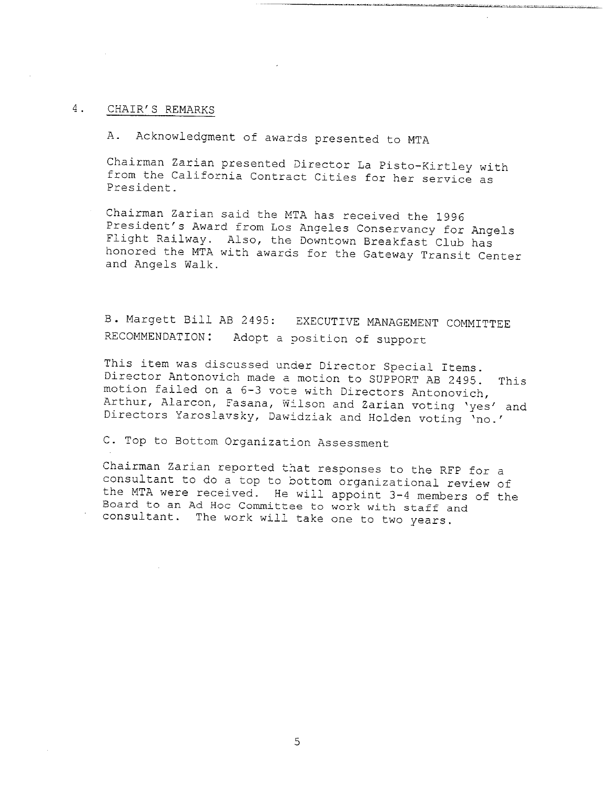#### 4. CHAIR'S REMARKS

A. Acknowledgment of awards presented to MTA

Chairman Zarian presented Director La Pisto-Kirtley with from the California Contract Cities for her service as President.

Chairman Zarian said the MTA has received the 1996 President's Award from Los Angeles Conservancy for Angels Flight Railway. Also, the Downtown Breakfast Club has honored the MTA with awards for the Gateway Transit Center and Angels Walk.

**B.** Margett Bill AB 2495: RECOMMENDATION: Adopt a position of support EXECUTIVE MANAGEMENT COMMITTEE

This item was discussed under Director Special Items. Director Antonovich made a motion to SUPPORT AB 2495. This motion failed on a 6-3 vote with Directors Antonovich, Arthur, Alarcon, Fasana, Wilson and Zarian voting 'yes' and Directors Yaroslavsky, Dawidziak and Holden voting 'no.'

C. Top to Bottom Organization Assessment

Chairman Zarian reported that responses to the RFP for a consultant to do a top to bottom organizational review of the MTA were received. He will appoint 3-4 members of the Board to an Ad Hoc Committee to work with staff and consultant. The work will take one to two years.

5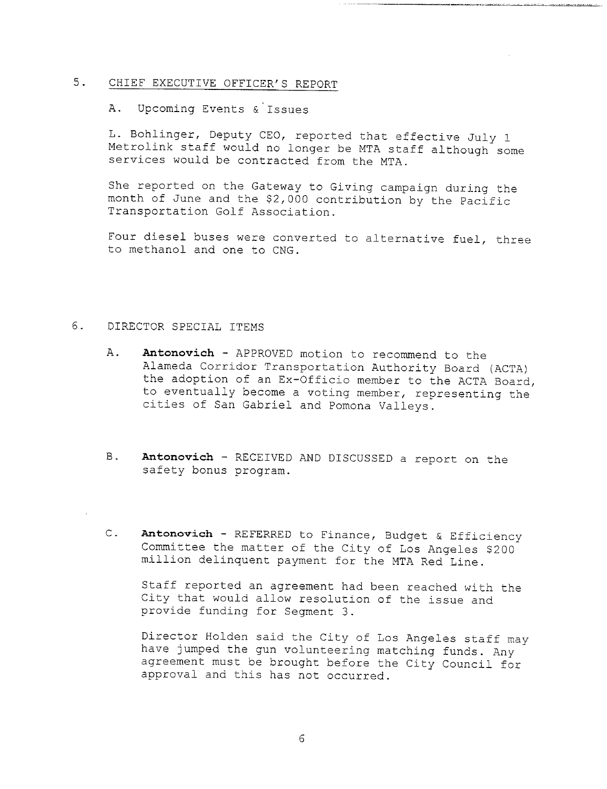### 5. CHIEF EXECUTIVE OFFICER'S REPORT

A. Upcoming Events &'Issues

L. Bohlinger, Deputy CEO, reported that effective July 1 Metrolink staff would no longer be MTA staff although some services would be contracted from the MTA.

She reported on the Gateway to Giving campaign during the month of June and the \$2,000 contribution by the Pacific Transportation Golf Association.

Four diesel buses were converted to alternative fuel, three to methanol and one to CNG.

#### 6. DIRECTOR SPECIAL ITEMS

- Α. **Antonov±ch -** APPROVED motion to recommend to the Alameda Corridor Transportation Authority Board (ACTA) the adoption of an Ex-Officio member to the ACTA Board, to eventually become a voting member, representing the cities of San Gabriel and Pomona Valleys.
- **Antonov±ch** RECEIVED AND DISCUSSED a report on the **B**. safety bonus program.
- C. Antonovich REFERRED to Finance, Budget & Efficiency Committee the matter of the City of Los Angeles \$200 million delinquent payment for the MTA Red Line.

Staff reported an agreement had been reached with the City that would allow resolution of the issue and provide funding for Segment 3.

Director Holden said the City of Los Angeles staff may have jumped the gun volunteering matching funds. Any agreement must be brought before the City Council for approval and this has not occurred.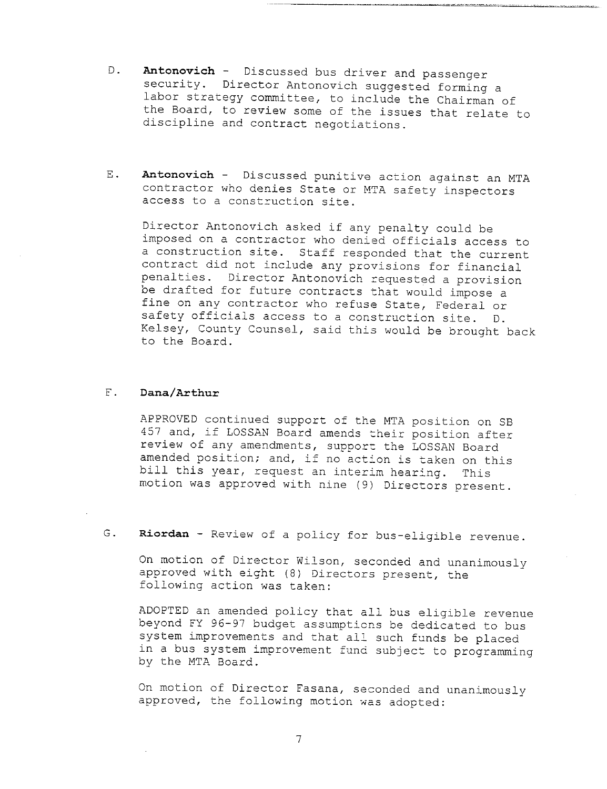- **Antonovich**  Discussed bus driver and passenger D. security. Director Antonovich suggested forming a labor strategy committee, to include the Chairman of the Board, to review some of the issues that relate to discipline and contract negotiations.
- E. Antonovich Discussed punitive action against an MTA contractor who denies State or MTA safety inspectors access to a construction site.

Director Antonovich asked if any penalty could be imposed on a contractor who denied officials access to a construction site. Staff responded that the current contract did not include any provisions for financial penalties. Director Antonovich requested a provision be drafted for future contracts that would impose a fine on any contractor who refuse State, Federal or safety officials access to a construction site. D. Kelsey, County Counsel, said this would be brought back to the Board.

#### $F$ . **Dana/Arthur**

APPROVED continued support of the MTA position on SB 457 and, if LOSSAN Board amends their position after review of any amendments, support the LOSSAN Board amended position; and, if no action is taken on this bill this year, request an interim hearing. This motion was approved with nine (9) Directors present.

G. Riordan - Review of a policy for bus-eligible revenue.

On motion of Director Wilson, seconded and unanimously approved with eight (8) Directors present, the following action was taken:

ADOPTED an amended policy that all bus eligible revenue beyond FY 96-97 budget assumptions be dedicated to bus system improvements and that all such funds be placed in a bus system improvement fund subject to programming by the MTA Board.

On motion of Director Fasana, seconded and unanimously approved, the following motion was adopted: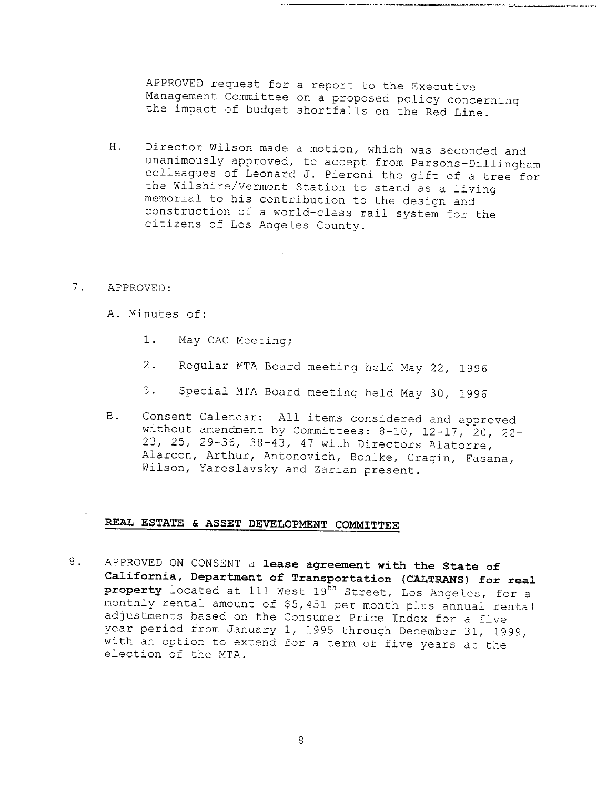APPROVED request for a report to the Executive Management Committee on a proposed policy concerning the impact of budget shortfalls on the Red Line.

- H. Director Wilson made a motion, which was seconded and unanimously approved, to accept from Parsons-Dillingham colleagues of Leonard J. Pieroni the gift of a tree for the Wilshire/Vermont Station to stand as a living memorial to his contribution to the design and construction of a world-class rail system for the citizens of Los Angeles County.
- 7. APPROVED:
	- A. Minutes of:
		- 1. May CAC Meeting;
		- 2. Regular MTA Board meeting held May 22, 1996
		- 3. Special MTA Board meeting held May 30, 1996
	- B. Consent Calendar: All items considered and approved without amendment by Committees: 8-10, 12-17, 20, 22-23, 25, 29-36, 38-43, 47 with Directors Alatorre, Alarcon, Arthur, Antonovich, Bohlke, Cragin, Pasana, Wilson, Yaroslavsky and Zarian present.

#### REAL ESTATE & ASSET DEVELOPMENT COMMITTEE

8. **APPROVED ON CONSENT a lease agreement with the State of California, Department of Transportation (CALTRANS) for real.** property located at 111 West 19<sup>th</sup> Street, Los Angeles, for a monthly rental amount of \$5,45! per month plus annual rental. adjustments based on the Consumer Price Index for a five year period from January l, 1995 through December 31, 1999, with an option to extend for a term of five years at the election of the MTA.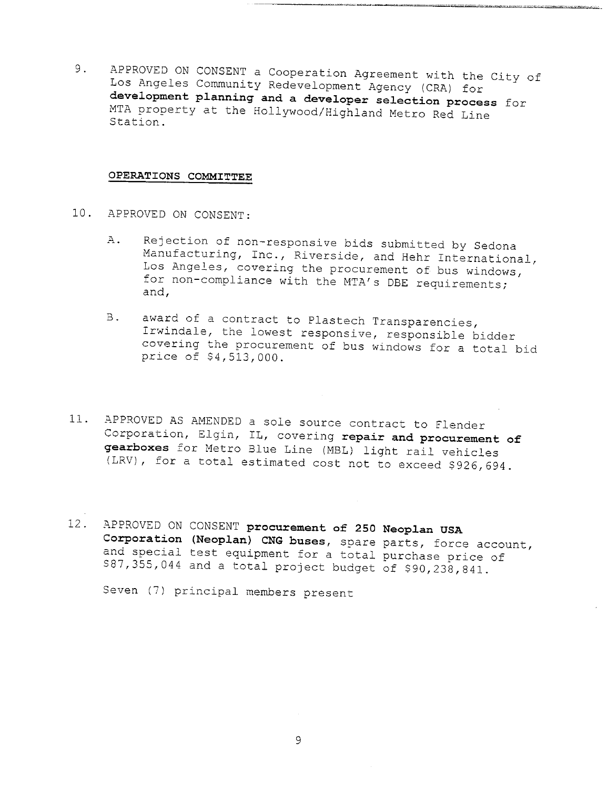9. APPROVED ON CONSENT a Cooperation Agreement with the City of Los Angeles Community Redevelopment Agency (CRA) for **development planning and a developer selection process** for MTA property at the Hollywood/Highland Metro Red Line Station.

.<br>A socializació los quebes delettera exceder escribiran

#### **OPERATIONS COMMITTEE**

- I0. APPROVED ON CONSENT:
	- Rejection of non-responsive bids submitted by Sedona  $A$ . Manufacturing, Inc., Riverside, and Hehr International, Los Angeles, covering the procurement of bus windows, for non-compliance with the MTA's DBE requirements; and,
	- B. award of a contract to Plastech Transparencies, Irwindale, the lowest responsive, responsible bidder covering the procurement of bus windows for a total bid price of \$4,513,000.
- 11. APPROVED AS AMENDED a sole source contract to Flender Corporation, Elgin, IL, covering **repair and procurement of gearboxes** for Metro Blue Line (MBL) light rail vehicles (LRV), for a total estimated cost not to exceed \$926,694.
- 12. APPROVED ON CONSENT **procurement of 250 Neoplan USA Corporation (Neoplan)** CNG buses, spare parts, force account, and special test equipment for a total purchase price of  $587,355,044$  and a total project budget of \$90,238,841.

Seven (7) principal members present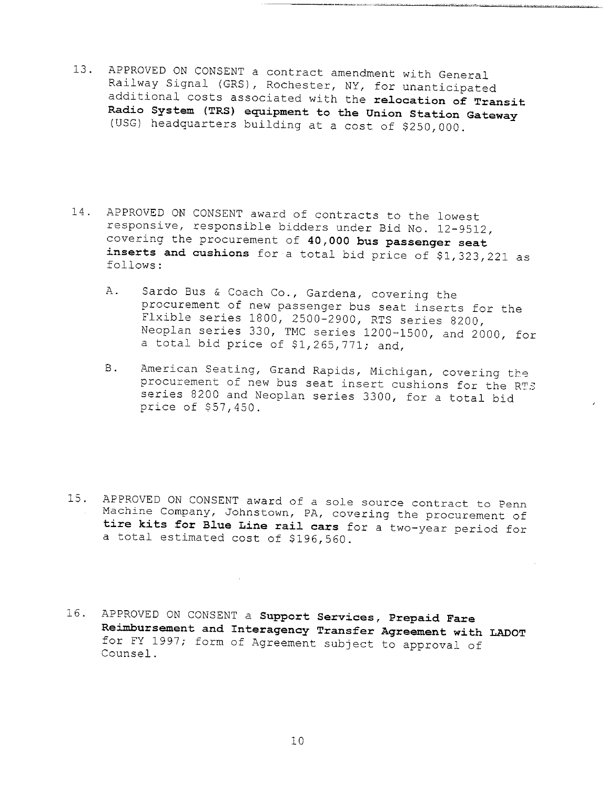- 13. APPROVED ON CONSENT a contract amendment with General Railway Signal (GRS), Rochester, NY, for unanticipated additional costs associated with the relocation of **Transit Radio System (TRS) equipment to the Union Station Gateway** (USG) headquarters building at a cost of \$250,000.
- 14. APPROVED ON CONSENT award of contracts to the lowest responsive, responsible bidders under Bid No. 12-9512, covering the procurement of 40,000 **bus passenger seat inserts and cushions** for a total bid price of \$1,323,221 as follows:
	- A. Sardo Bus & Coach Co., Gardena, covering the procurement of new passenger bus seat inserts for the Flxible series 1800, 2500-2900, RTS series 8200, Neoplan series 330, TMC series 1200-1500, and 2000, for a total bid price of \$1,265,771; and,
	- American Seating, Grand Rapids, Michigan, covering the **B**. procurement of new bus seat insert cushions for the RTS series 8200 and Neoplan series 3300, for a total bid price of \$57,450.
- 15. APPROVED ON CONSENT award of a sole source contract to Penn Machine Company, Johnstown, PA, covering the procurement of **tire kits for Blue Line rail cars** for a two-year period for a total estimated cost of \$196,560.
- 16. **APPROVED ON CONSENT a Support Services, Prepaid Fare ReimBursement and Interagency Transfer Agreement with LADOT** for FY 1997; form of Agreement subject to approval of Counsel.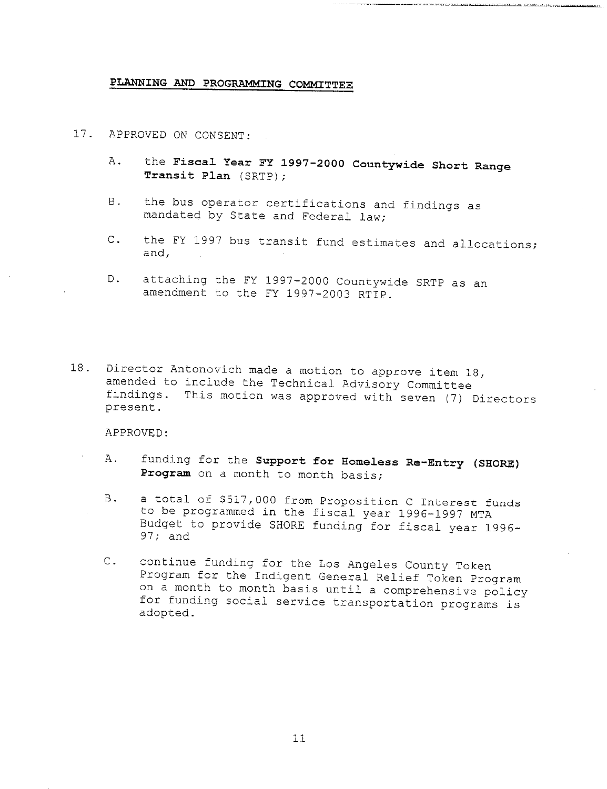#### PLANNING AND PROGRAMMING COMMITTEE

- 17. APPROVED ON CONSENT:
	- A. the Fiscal Year FY 1997-2000 Countywide Short Range **Transit Plan (SRTP);**
	- B. the bus operator certifications and findings as mandated by State and Federal law;
	- the FY 1997 bus transit fund estimates and allocations;  $C_{\bullet}$ and,
	- D. attaching the FY 1997-2000 Countywide SRTP as an amendment to the FY 1997-2003 RTIP.
- 18. Director Antonovich made a motion to approve item 18, amended to include the Technical Advisory Committee findings. This motion was approved with seven (7) Directors present.

APPROVED:

- A. funding for the Support for Homeless Re-Entry (SHORE) **Program** on a month to month basis;
- B. a total of \$517,000 from Proposition C Interest funds to be programmed in the fiscal year 1996-1997 MTA Budget to provide SHORE funding for fiscal year 1996- 97; and
- C. continue funding for the Los Angeles County Token Program for the Indigent General Relief Token Program on a month to month basis until a comprehensive policy for funding social service transportation programs is adopted.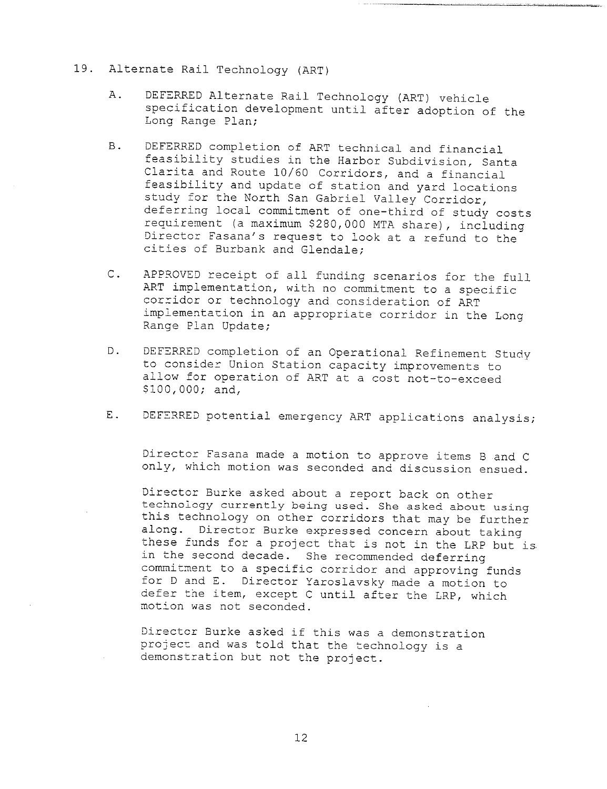- 19. Alternate Rail Technology (ART)
	- A. DEFERRED Alternate Rail Technology (ART) vehicle specification development until after adoption of the Long Range Plan;
	- B. DEFERRED completion of ART technical and financial feasibility studies in the Harbor Subdivision, Santa Clarita and Route 10/60 Corridors, and a financial feasibility and update of station and yard locations study for the North San Gabriel Valley Corridor, deferring local commitment of one-third of study costs requirement (a maximum \$280,000 MTA share), including Director Fasana's request to look at a refund to the cities of Burbank and Glendale;
	- C. APPROVED receipt of all funding scenarios for the full ART implementation, with no commitment to a specific corridor or technology and consideration of ART implementation in an appropriate corridor in the Long Range Plan Update;
	- D. DEFERRED completion of an Operational Refinement Study to consider Union Station capacity improvements to allow for operation of ART at a cost not-to-exceed \$I00,000; and,
	- E. DEFERRED potential emergency ART applications analysis;

Director Fasana made a motion to approve items B and C only, which motion was seconded and discussion ensued.

Director Burke asked about a report back on other technology currently being used. She asked about using this technology on other corridors that may be further along. Director Burke expressed concern about taking these funds for a project that is not in the LRP but is. in the second decade. She recommended deferring commitment to a specific corridor and approving funds for D and E. Director Yaroslavsky made a motion to defer the item, except C until after the LRP, which motion was not seconded.

Director Burke asked if this was a demonstration projecz and was told that the technology is a demonstration but not the project.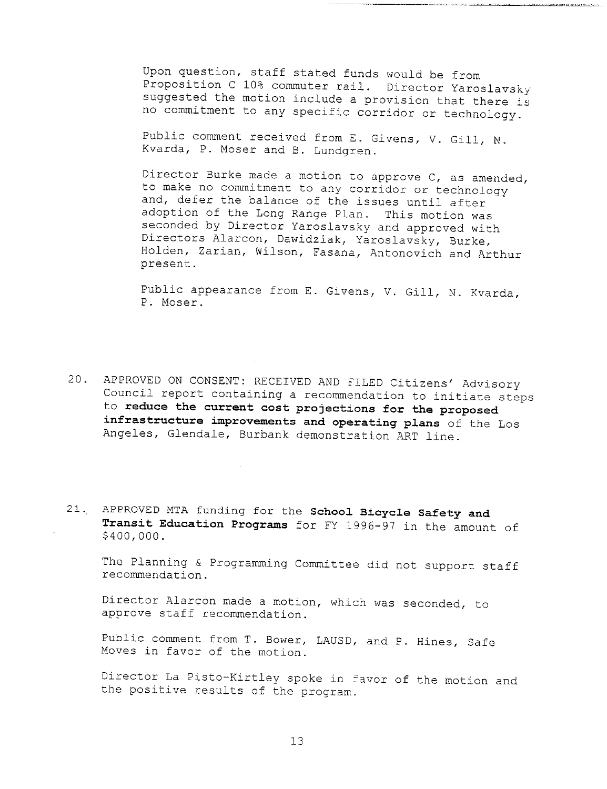Upon question, staff stated funds would be from Proposition C 10% commuter rail. Director Yaroslavsky suggested the motion include a provision that there is no cormmitment to any specific corridor or technology.

Public comment received from E. Givens, V. Gill, N. Kvarda, P. Moser and B. Lundgren.

Director Burke made a motion to approve C, as amended, to make no commitment to any corridor or technology and, defer the balance of the issues until after adoption of the Long Range Plan. This motion was seconded by Director Yaroslavsky and approved with Directors Alarcon, Dawidziak, Yaroslavsky, Burke, Holden, Zarian, Wilson, Fasana, Antonovich and Arthur present.

Public appearance from E. Givens, V. Gill, N. Kvarda, P. Moser.

- 20. APPROVED ON CONSENT: RECEIVED AND FILED Citizens' Advisory Council report containing a recommendation to initiate steps to **reduce the current cost projections for the proposed infrastructure improvements and operating plans** of the Los Angeles, Glendale, Burbank demonstration ART line.
- 21. APPROVED MTA funding for the **School Bicycle Safety and Transit Education Programs** for FY 1996-97 in the amount of \$400,000.

The Planning & Programming Committee did not support staff recommendation.

Director Alarcon made a motion, which was seconded, to approve staff recommendation.

Public comment from T. Bower, LAUSD, and P. Hines, Safe Moves in favor of the motion.

Director La Pisto-Kirtley spoke in favor of the motion and the positive results of the program.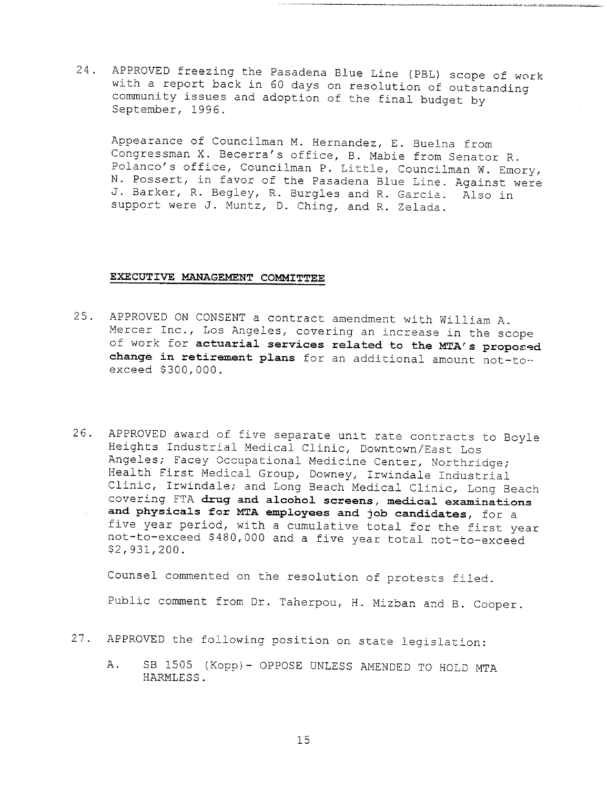24. APPROVED freezing the Pasadena Blue Line (PBL) scope of work with a report back in 60 days on resolution of outstanding community issues and adoption of the final budget by September, 1996.

Appearance of Councilman M. Hernandez, E. Buelna from Congressman X. Becerra's office, B. Mabie from Senator R. Polanco's office, Councilman P. Little, Councilman W. Emory, N. Possert, in favor of the Pasadena Blue Line. Against were J. Barker, R. Begley, R. Burgles and R. Garcia. Also in support were J. Muntz, D. Ching, and R. Zelada.

#### **EXECUTIVE MANAGEMENT COMMITTEE**

- 25. APPROVED ON CONSENT a contract amendment with William A. Mercer Inc., Los Angeles, covering an increase in the scope of work for actuarial services related to the MTA's proposed **change in retirement plans** for an additional amount not-to- exceed \$300,000.
- 26. APPROVED award of five separate unit rate contracts to Boyle Heights Industrial Medical Clinic, Downtown/East Los Angeles; Facey Occupational Medicine Center, Northridge; Health First Medical Group, Downey, Irwindale Industrial Clinic, Irwindale; and Long Beach Medical Clinic, Long Beach covering FTA **drug and alcohol screens, medical examinations and physicals for MTA employees and job candidates, for a** five year period, with a cumulative total for the first year not-to-exceed \$480,000 and a five year total not-to-exceed \$2,931,200.

Counsel commented on the resolution of protests filed.

Public comment from Dr. Taherpou, H. Mizban and B. Cooper.

- 27. APPROVED the following position on state legislation:
	- A. SB 1505 (Kopp)- OPPOSE UNLESS AMENDED TO HOLD MTA HARMLESS.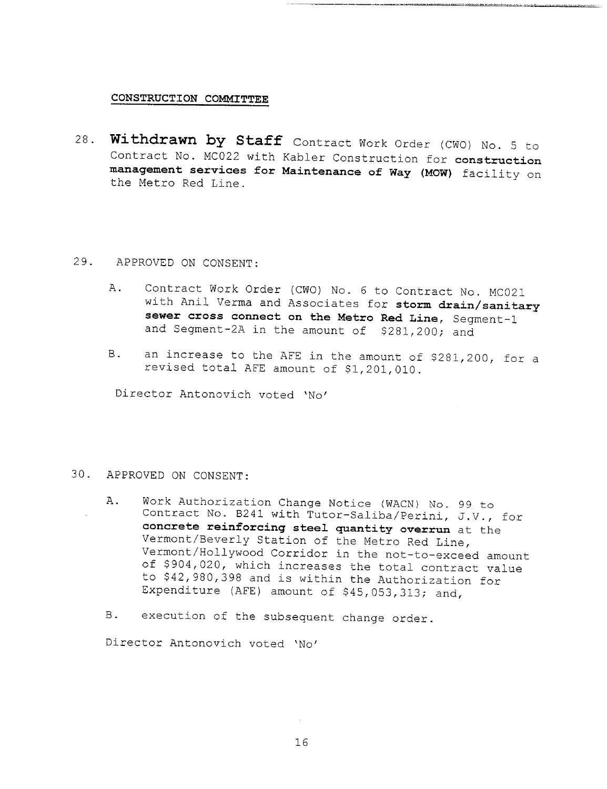#### **CONSTRUCTION COMMITTEE**

28. **Withdrawn by Staff** Contract Work Order (CWO) No. 5 Contract No. MC022 with Kabler Construction for **construction management services for Maintenance of Way (MOW)** facility on the Metro Red Line.

#### 29. APPROVED ON CONSENT:

- A. Contract Work Order (CWO) No. 6 to Contract No. MC021 with Anil Verma and Associates for storm drain/sanitary sewer cross connect on the Metro Red Line, Segment-1 and Segment-2A in the amount of \$281,200; and
- an increase to the AFE in the amount of \$281,200, for a **B**. revised total AFE amount of \$1,201,010.

Director Antonovich voted 'No'

#### 30. APPROVED ON CONSENT:

- A. Work Authorization Change Notice (WACN) No. 99 to Contract No. B241 with Tutor-Saliba/Perini, J.V., for **concrete reinforcing steel quantity overrun** at the Vermont/Beverly Station of the Metro Red Line, Vermont/Hollywood Corridor in the not-to-exceed amount of \$904,020, which increases the total contract value to \$42,980,398 and is within the Authorization for Expenditure (AFE) amount of \$45,053,313; and,
- B. execution of the subsequent change order.

Director Antonovich voted 'No'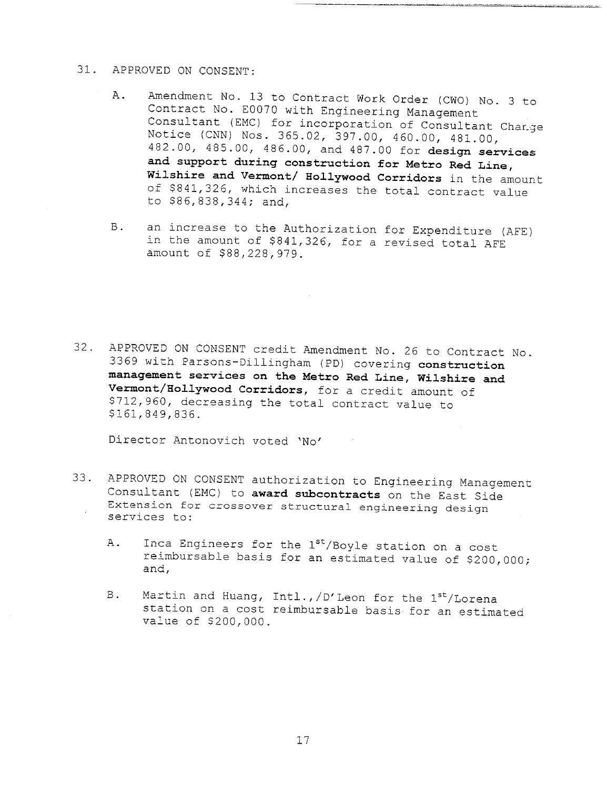#### 31. APPROVED ON CONSENT:

- A. Amendment No. 13 to Contract Work Order (CWO) No. 3 to Contract No. E0070 with Engineering Management Consultant (EMC) for incorporation of Consultant Change Notice (CNN) Nos. 365.02, 397.00, 460.00, 481.00, 482.00, 485.00, 486.00, and 487.00 for **design services and support during construction for Metro Red Line,** Wilshire and Vermont/ Hollywood Corridors in the amount of \$841,326, which increases the total contract value to \$86,838,344; and,
- an increase to the Authorization for Expenditure (AFE) B. in the amount of \$841,326, for a revised total AFE amount of \$88,228,979.

32. APPROVED ON CONSENT credit Amendment No. 26 to Contract No. 3369 with Parsons-Diliingham (PD) covering **construction management services on the Metro Red Line, Wilshire and** Vermont/Hollywood Corridors, for a credit amount of \$712,960, decreasing the total contract value to \$161,849,836.

Director Antonovich voted 'No'

- 33. APPROVED ON CONSENT authorization to Engineering Management Consultant (EMC) to award subcontracts on the East Side Extension for crossover structural engineering design services to:
	- A. Inca Engineers for the 1st/Boyle station on a cost reimbursable basis for an estimated value of \$200,000; and,
	- Martin and Huang, Intl., /D'Leon for the 1st/Lorena  $B.$ station on a cost reimbursable basis for an estimated value of \$200,000.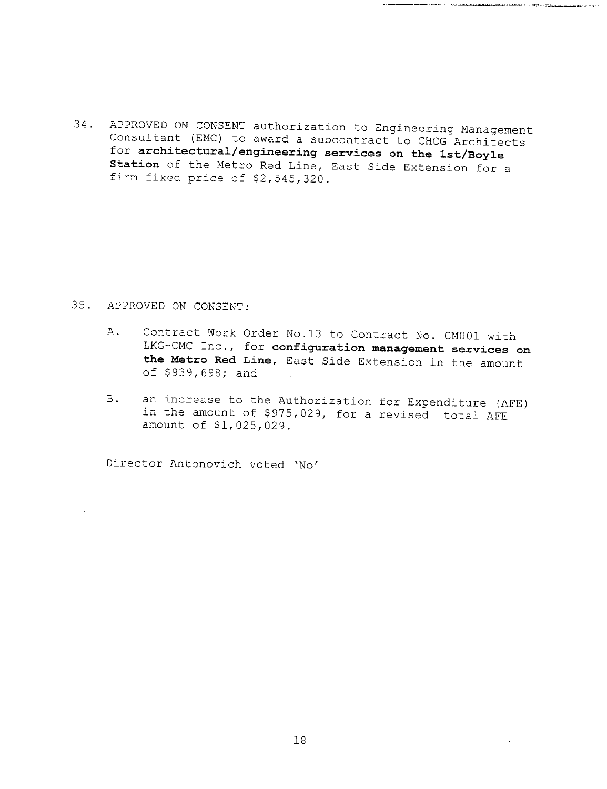34. APPROVED ON CONSENT authorization to Engineering Management Consultant (EMC) to award a subcontract to CHCG Architects for **architectural/engineering services on the ist/Boyle Station** of the Metro Red Line, East Side Extension for a firm fixed price of \$2,545,320.

### 35. APPROVED ON CONSENT:

- Contract Work Order No.13 to Contract No. CM001 with Α. LKG-CMC Inc., for **configuration management services on the Metro Red Line,** East Side Extension in the amount of \$939,698; and
- B. an increase to the Authorization for Expenditure (AFE) in the amount of \$975,029, for a revised total AFE amount of \$1,025,029.

Director Antonovich voted 'No'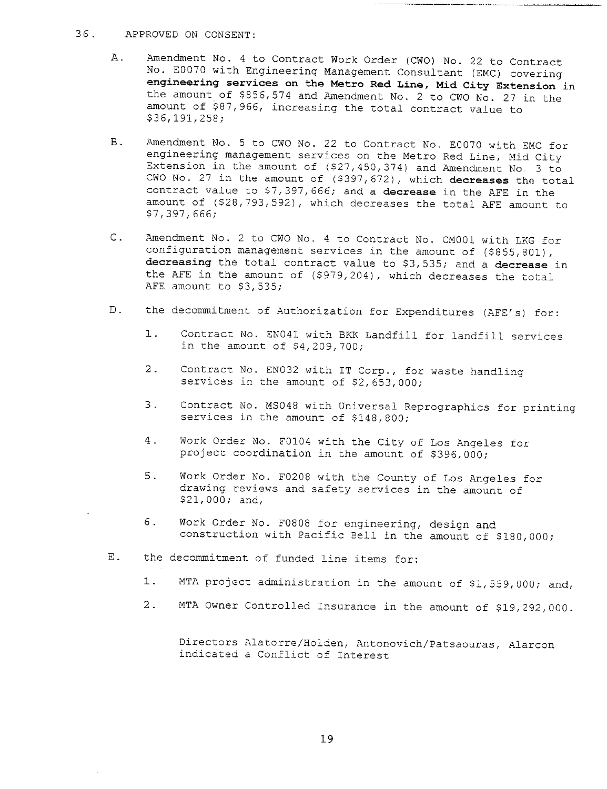#### 36. APPROVED ON CONSENT:

- A. Amendment No. 4 to Contract Work Order (CWO) No. 22 to Contract No. E0070 with Engineering Management Consultant (EMC) covering **engineering services on the Metro Red Line, Mid City Extension** in the amount of  $$856,574$  and Amendment No. 2 to CWO No. 27 in the amount of \$87,966, increasing the total contract value to \$36,191,258;
- B. Amendment No. 5 to CWO No. 22 to Contract No. E0070 with EMC for engineering management services on the Metro Red Line, Mid City Extension in the amount of (\$27,450,374) and Amendment No. 3 to CWO No. 27 in the amount of (\$397,672), which **decreases** the total contract value to S7,397,666; and a **decrease** in the AFE in the amount of (\$28,793,592), which decreases the total AFE amount to \$7,397,666;
- C. Amendment No. 2 to CWO No. 4 to Contract No. CM001 with LKG for configuration management services in the amount of (\$855,801), **decreasing** the total contract value to \$3,535; and a **decrease** in the AFE in the amount of (\$979,204), which decreases the total AFE amount to \$3,535;
- D. the decommitment of Authorization for Expenditures (AFE's) for:
	- $1.$ Contract No. EN041 with BKK Landfill for landfill services in the amount of \$4,209,700;
	- 2. Contract No. EN032 with IT Corp., for waste handling services in the amount of  $$2,653,000;$
	- $3.$ Contract No. MS048 with Universal Reprographics for printing services in the amount of \$148,800;
	- $4.$ Work Order No. F0104 with the City of Los Angeles for project coordination in the amount of \$396,000;
	- 5. Work Order No. F0208 with the County of Los Angeles for drawing reviews and safety services in the amount of \$21,000; and,
	- 6. Work Order No. F0808 for engineering, design and construction with Pacific Bell in the amount of \$180,000;
- E. the decommitment of funded line items for:
	- 1. MTA project administration in the amount of \$1,559,000; and,
	- 2. MTA Owner Controlled insurance in the amount of \$19,292,000.

Directors Alatorre/Holden, Antonovich/Patsaouras, Alarcon indicated a Conflict of Interest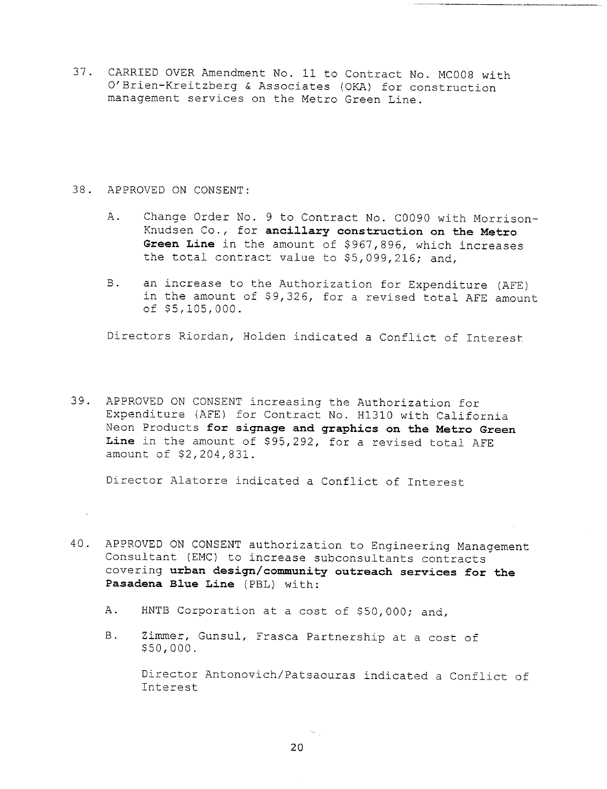37. CARRIED OVER Amendment No. Ii to Contract No. MC008 with O'Brien-Kreitzberg & Associates (OKA) for construction management services on the Metro Green Line.

#### 38. APPROVED ON CONSENT:

- A. Change Order No. 9 to Contract No. C0090 with Morrison-Knudsen Co., for **ancillary construction on the Metro Green Line** in the amount of \$967,896, which increases the total contract value to \$5,099,216; and,
- an increase to the Authorization for Expenditure (AFE) **B.** in the amount of \$9,326, for a revised total AFE amount of \$5,105,000.

Directors Riordan, Holden indicated a Conflict of Interest

39. APPROVED ON CONSENT increasing the Authorization for Expenditure (AFE) for Contract No. HI310 with California Neon Products **for signage and graphics on the Metro Green Line** in the amount of \$95,292, for a revised total AFE amount of \$2,204,831.

Director Alatorre indicated a Conflict of Interest

- 40. APPROVED ON CONSENT authorization to Engineering Management Consultant (EMC) to increase subconsultants contracts covering **urban design/community outreach services for the Pasadena Blue Line (PBL) with:**
	- A. HNTB Corporation at a cost of \$50,000; and,
	- B. Zimmer, Gunsul, Frasca Partnership at a cost of \$50,000.

Director Antonovich/Patsaouras indicated a Conflict of Interest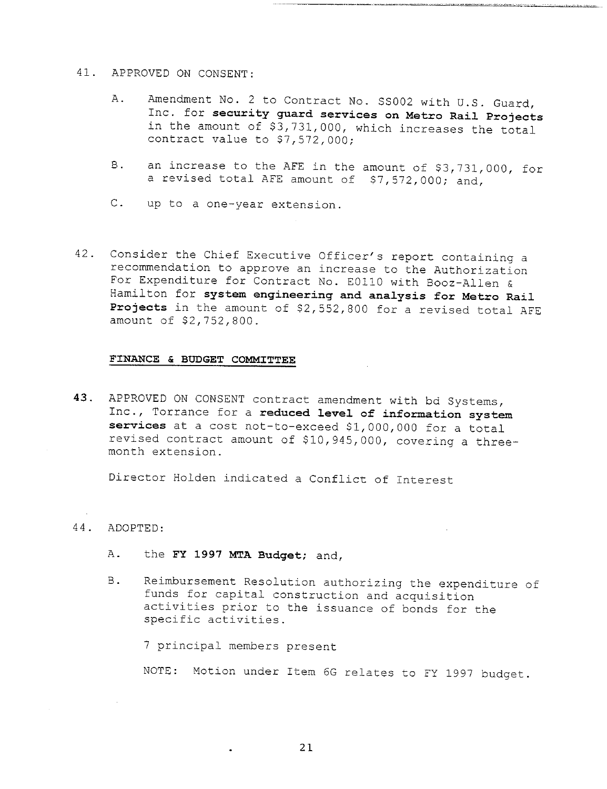#### 41. APPROVED ON CONSENT:

- A. Amendment No. 2 to Contract No. SS002 with U.S. Guard, Inc. for **security guard services on Metro Rail Projects** in the amount of  $\overline{s3}$ , 731,000, which increases the total. contract value to \$7,572,000;
- an increase to the AFE in the amount of \$3,731,000, for B. a revised total AFE amount of \$7,572,000; and,
- C. up to a one-year extension.
- 42. Consider the Chief Executive Officer's report containing a recommendation to approve an increase to the Authorization For Expenditure for Contract No. E01!0 with Booz-Allen & Hamilton for **system engineering and analysis for Metro Rail Projects** in the amount of \$2,552,800 for a revised total AFE amount of \$2,752,800.

#### **FINANCE & BUDGET COMMITTEE**

**43.** APPROVED ON CONSENT contract amendment with bd Systems, Inc., Torrance for a **reduced level of information system** services at a cost not-to-exceed \$1,000,000 for a total revised contract amount of \$10,945,000, covering a threemonth extension.

Director Holden indicated a Conflict of interest

#### 44. ADOPTED:

- A. the FY 1997 MTA Budget; and,
- B. Reimbursement Resolution authorizing the expenditure of funds for capital construction and acquisition activities prior to the issuance of bonds for the specific activities.

7 principal members present

NOTE: Motion under Item 6G relates to FY 1997 budget.